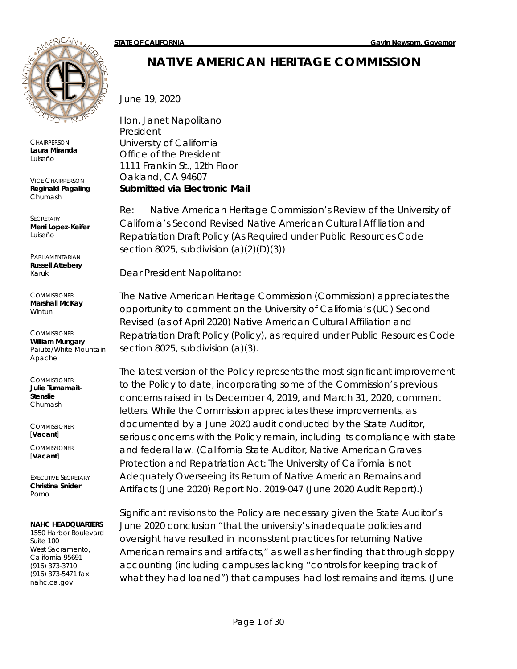

**CHAIRPERSON Laura Miranda** *Luiseño*

VICE CHAIRPERSON **Reginald Pagaling** *Chumash*

**SECRETARY Merri Lopez-Keifer** *Luiseño*

PARLIAMENTARIAN **Russell Attebery** *Karuk*

**COMMISSIONER Marshall McKay** *Wintun*

**COMMISSIONER William Mungary** *Paiute/White Mountain Apache*

**COMMISSIONER Julie Tumamait-Stenslie** *Chumash*

**COMMISSIONER** [**Vacant**]

**COMMISSIONER** [**Vacant**]

EXECUTIVE SECRETARY **Christina Snider** *Pomo*

#### **NAHC HEADQUARTERS**

1550 Harbor Boulevard Suite 100 West Sacramento, California 95691 (916) 373-3710 (916) 373-5471 fax nahc.ca.gov

# **NATIVE AMERICAN HERITAGE COMMISSION**

June 19, 2020

Hon. Janet Napolitano President University of California Office of the President 1111 Franklin St., 12th Floor Oakland, CA 94607 *Submitted via Electronic Mail*

Re: Native American Heritage Commission's Review of the University of California's Second Revised Native American Cultural Affiliation and Repatriation Draft Policy (As Required under Public Resources Code section 8025, subdivision  $(a)(2)(D)(3)$ )

Dear President Napolitano:

The Native American Heritage Commission (Commission) appreciates the opportunity to comment on the University of California's (UC) Second Revised (as of April 2020) Native American Cultural Affiliation and Repatriation Draft Policy (Policy), as required under Public Resources Code section 8025, subdivision (a)(3).

The latest version of the Policy represents the most significant improvement to the Policy to date, incorporating some of the Commission's previous concerns raised in its December 4, 2019, and March 31, 2020, comment letters. While the Commission appreciates these improvements, as documented by a June 2020 audit conducted by the State Auditor, serious concerns with the Policy remain, including its compliance with state and federal law. (California State Auditor, *Native American Graves Protection and Repatriation Act: The University of California is not Adequately Overseeing its Return of Native American Remains and*  Artifacts (June 2020) Report No. 2019-047 (June 2020 Audit Report).)

Significant revisions to the Policy are necessary given the State Auditor's June 2020 conclusion "that the university's inadequate policies and oversight have resulted in inconsistent practices for returning Native American remains and artifacts," as well as her finding that through sloppy accounting (including campuses lacking "controls for keeping track of what they had loaned") that campuses had lost remains and items. (June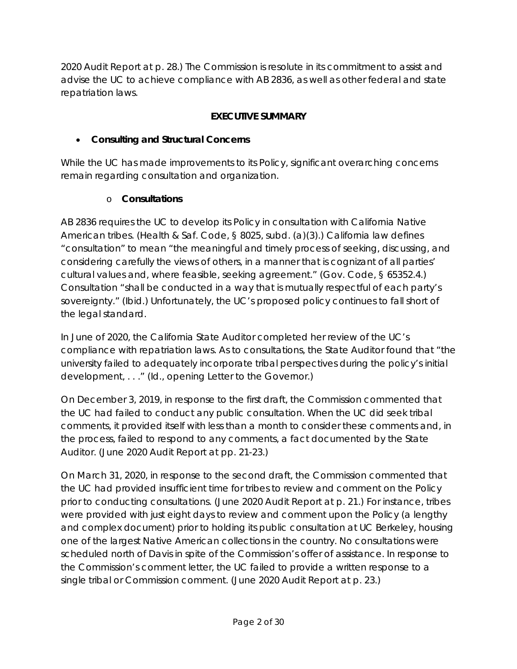2020 Audit Report at p. 28.) The Commission is resolute in its commitment to assist and advise the UC to achieve compliance with AB 2836, as well as other federal and state repatriation laws.

#### **EXECUTIVE SUMMARY**

### • **Consulting and Structural Concerns**

While the UC has made improvements to its Policy, significant overarching concerns remain regarding consultation and organization.

### o **Consultations**

AB 2836 requires the UC to develop its Policy in consultation with California Native American tribes. (Health & Saf. Code, § 8025, subd. (a)(3).) California law defines "consultation" to mean "the meaningful and timely process of seeking, discussing, and considering carefully the views of others, in a manner that is cognizant of all parties' cultural values and, where feasible, seeking agreement." (Gov. Code, § 65352.4.) Consultation "shall be conducted in a way that is mutually respectful of each party's sovereignty." (*Ibid.*) Unfortunately, the UC's proposed policy continues to fall short of the legal standard.

In June of 2020, the California State Auditor completed her review of the UC's compliance with repatriation laws. As to consultations, the State Auditor found that "the university failed to adequately incorporate tribal perspectives during the policy's initial development, . . ." (*Id.,* opening Letter to the Governor.)

On December 3, 2019, in response to the first draft, the Commission commented that the UC had failed to conduct any public consultation. When the UC did seek tribal comments, it provided itself with less than a month to consider these comments and, in the process, failed to respond to any comments, a fact documented by the State Auditor. (June 2020 Audit Report at pp. 21-23.)

On March 31, 2020, in response to the second draft, the Commission commented that the UC had provided insufficient time for tribes to review and comment on the Policy prior to conducting consultations. (June 2020 Audit Report at p. 21.) For instance, tribes were provided with just eight days to review and comment upon the Policy (a lengthy and complex document) prior to holding its public consultation at UC Berkeley, housing one of the largest Native American collections in the country. No consultations were scheduled north of Davis in spite of the Commission's offer of assistance. In response to the Commission's comment letter, the UC failed to provide a written response to a single tribal or Commission comment. (June 2020 Audit Report at p. 23.)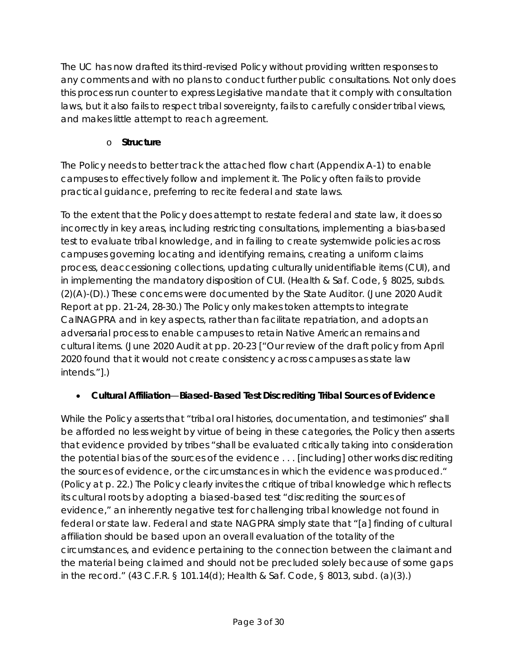The UC has now drafted its third-revised Policy without providing written responses to any comments and with no plans to conduct further public consultations. Not only does this process run counter to express Legislative mandate that it comply with consultation laws, but it also fails to respect tribal sovereignty, fails to carefully consider tribal views, and makes little attempt to reach agreement.

### o **Structure**

The Policy needs to better track the attached flow chart (Appendix A-1) to enable campuses to effectively follow and implement it. The Policy often fails to provide practical guidance, preferring to recite federal and state laws.

To the extent that the Policy does attempt to restate federal and state law, it does so incorrectly in key areas, including restricting consultations, implementing a bias-based test to evaluate tribal knowledge, and in failing to create systemwide policies across campuses governing locating and identifying remains, creating a uniform claims process, deaccessioning collections, updating culturally unidentifiable items (CUI), and in implementing the mandatory disposition of CUI. (Health & Saf. Code, § 8025, subds. (2)(A)-(D).) These concerns were documented by the State Auditor. (June 2020 Audit Report at pp. 21-24, 28-30.) The Policy only makes token attempts to integrate CalNAGPRA and in key aspects, rather than facilitate repatriation, and adopts an adversarial process to enable campuses to retain Native American remains and cultural items. (June 2020 Audit at pp. 20-23 ["Our review of the draft policy from April 2020 found that it would not create consistency across campuses as state law intends."].)

### • **Cultural Affiliation**—**Biased-Based Test Discrediting Tribal Sources of Evidence**

While the Policy asserts that "tribal oral histories, documentation, and testimonies" shall be afforded no less weight by virtue of being in these categories, the Policy then asserts that evidence provided by tribes "shall be evaluated critically taking into consideration the potential bias of the sources of the evidence . . . [including] other works discrediting the sources of evidence, or the circumstances in which the evidence was produced." (Policy at p. 22.) The Policy clearly invites the critique of tribal knowledge which reflects its cultural roots by adopting a biased-based test "discrediting the sources of evidence," an inherently negative test for challenging tribal knowledge not found in federal or state law. Federal and state NAGPRA simply state that "[a] finding of cultural affiliation should be based upon an overall evaluation of the totality of the circumstances, and evidence pertaining to the connection between the claimant and the material being claimed and should not be precluded solely because of some gaps in the record." (43 C.F.R. § 101.14(d); Health & Saf. Code, § 8013, subd. (a)(3).)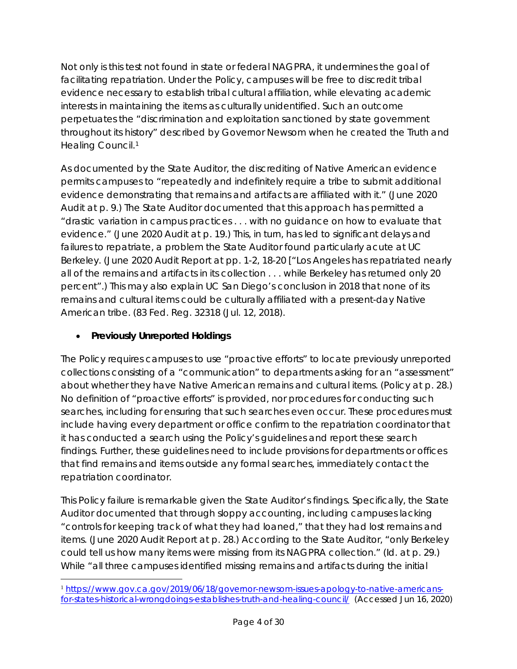Not only is this test not found in state or federal NAGPRA, it undermines the goal of facilitating repatriation. Under the Policy, campuses will be free to discredit tribal evidence necessary to establish tribal cultural affiliation, while elevating academic interests in maintaining the items as culturally unidentified. Such an outcome perpetuates the "discrimination and exploitation sanctioned by state government throughout its history" described by Governor Newsom when he created the Truth and Healing Council.<sup>1</sup>

As documented by the State Auditor, the discrediting of Native American evidence permits campuses to "repeatedly and indefinitely require a tribe to submit additional evidence demonstrating that remains and artifacts are affiliated with it." (June 2020 Audit at p. 9.) The State Auditor documented that this approach has permitted a "drastic variation in campus practices . . . with no guidance on how to evaluate that evidence." (June 2020 Audit at p. 19.) This, in turn, has led to significant delays and failures to repatriate, a problem the State Auditor found particularly acute at UC Berkeley. (June 2020 Audit Report at pp. 1-2, 18-20 ["Los Angeles has repatriated nearly all of the remains and artifacts in its collection . . . while Berkeley has returned only 20 percent".) This may also explain UC San Diego's conclusion in 2018 that none of its remains and cultural items could be culturally affiliated with a present-day Native American tribe. (83 Fed. Reg. 32318 (Jul. 12, 2018).

### • **Previously Unreported Holdings**

The Policy requires campuses to use "proactive efforts" to locate previously unreported collections consisting of a "communication" to departments asking for an "assessment" about whether they have Native American remains and cultural items. (Policy at p. 28.) No definition of "proactive efforts" is provided, nor procedures for conducting such searches, including for ensuring that such searches even occur. These procedures must include having every department or office confirm to the repatriation coordinator that it has conducted a search using the Policy's guidelines and report these search findings. Further, these guidelines need to include provisions for departments or offices that find remains and items outside any formal searches, immediately contact the repatriation coordinator.

This Policy failure is remarkable given the State Auditor's findings. Specifically, the State Auditor documented that through sloppy accounting, including campuses lacking "controls for keeping track of what they had loaned," that they had lost remains and items. (June 2020 Audit Report at p. 28.) According to the State Auditor, "only Berkeley could tell us how many items were missing from its NAGPRA collection." (*Id.* at p. 29.) While "all three campuses identified missing remains and artifacts during the initial

<span id="page-3-0"></span> <sup>1</sup> [https://www.gov.ca.gov/2019/06/18/governor-newsom-issues-apology-to-native-americans](https://www.gov.ca.gov/2019/06/18/governor-newsom-issues-apology-to-native-americans-for-states-historical-wrongdoings-establishes-truth-and-healing-council/)[for-states-historical-wrongdoings-establishes-truth-and-healing-council/](https://www.gov.ca.gov/2019/06/18/governor-newsom-issues-apology-to-native-americans-for-states-historical-wrongdoings-establishes-truth-and-healing-council/) (Accessed Jun 16, 2020)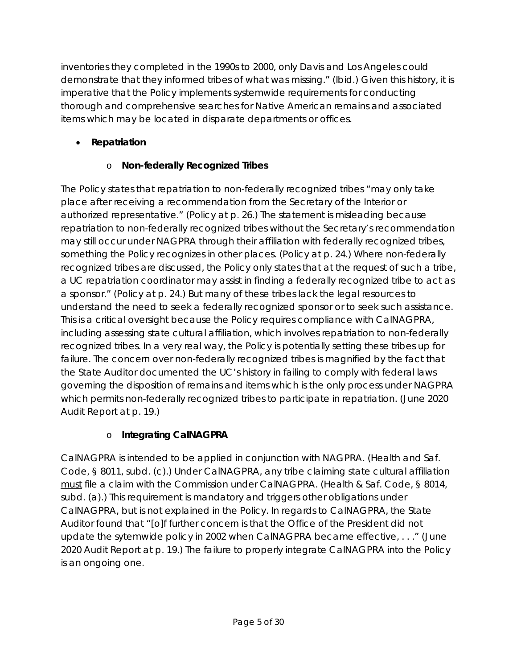inventories they completed in the 1990s to 2000, only Davis and Los Angeles could demonstrate that they informed tribes of what was missing." (*Ibid.*) Given this history, it is imperative that the Policy implements systemwide requirements for conducting thorough and comprehensive searches for Native American remains and associated items which may be located in disparate departments or offices.

### • **Repatriation**

# o **Non-federally Recognized Tribes**

The Policy states that repatriation to non-federally recognized tribes "may only take place after receiving a recommendation from the Secretary of the Interior or authorized representative." (Policy at p. 26.) The statement is misleading because repatriation to non-federally recognized tribes without the Secretary's recommendation may still occur under NAGPRA through their affiliation with federally recognized tribes, something the Policy recognizes in other places. (Policy at p. 24.) Where non-federally recognized tribes are discussed, the Policy only states that at the request of such a tribe, a UC repatriation coordinator may assist in finding a federally recognized tribe to act as a sponsor." (Policy at p. 24.) But many of these tribes lack the legal resources to understand the need to seek a federally recognized sponsor or to seek such assistance. This is a critical oversight because the Policy requires compliance with CalNAGPRA, including assessing state cultural affiliation, which involves repatriation to non-federally recognized tribes. In a very real way, the Policy is potentially setting these tribes up for failure. The concern over non-federally recognized tribes is magnified by the fact that the State Auditor documented the UC's history in failing to comply with federal laws governing the disposition of remains and items which is the only process under NAGPRA which permits non-federally recognized tribes to participate in repatriation. (June 2020 Audit Report at p. 19.)

# o **Integrating CalNAGPRA**

CalNAGPRA is intended to be applied in conjunction with NAGPRA. (Health and Saf. Code, § 8011, subd. (c).) Under CalNAGPRA, any tribe claiming state cultural affiliation must file a claim with the Commission under CalNAGPRA. (Health & Saf. Code, § 8014, subd. (a).) This requirement is mandatory and triggers other obligations under CalNAGPRA, but is not explained in the Policy. In regards to CalNAGPRA, the State Auditor found that "[o]f further concern is that the Office of the President did not update the sytemwide policy in 2002 when CalNAGPRA became effective, . . ." (June 2020 Audit Report at p. 19.) The failure to properly integrate CalNAGPRA into the Policy is an ongoing one.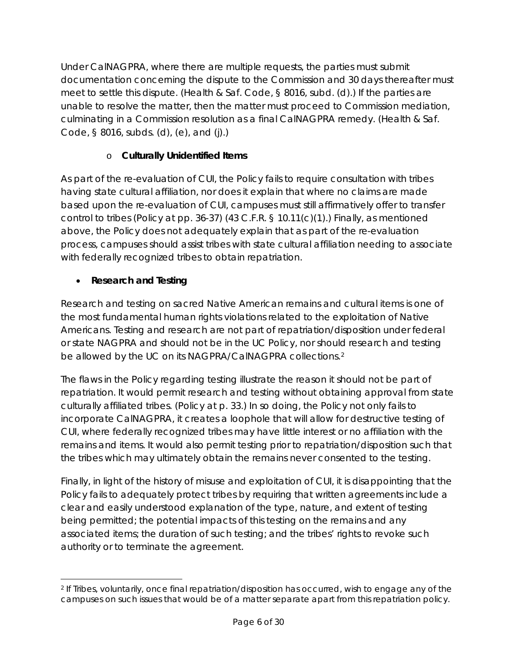Under CalNAGPRA, where there are multiple requests, the parties must submit documentation concerning the dispute to the Commission and 30 days thereafter must meet to settle this dispute. (Health & Saf. Code, § 8016, subd. (d).) If the parties are unable to resolve the matter, then the matter must proceed to Commission mediation, culminating in a Commission resolution as a final CalNAGPRA remedy. (Health & Saf. Code, § 8016, subds. (d), (e), and (j).)

### o **Culturally Unidentified Items**

As part of the re-evaluation of CUI, the Policy fails to require consultation with tribes having state cultural affiliation, nor does it explain that where no claims are made based upon the re-evaluation of CUI, campuses must still affirmatively offer to transfer control to tribes (Policy at pp. 36-37) (43 C.F.R. § 10.11(c)(1).) Finally, as mentioned above, the Policy does not adequately explain that as part of the re-evaluation process, campuses should assist tribes with state cultural affiliation needing to associate with federally recognized tribes to obtain repatriation.

### • **Research and Testing**

 $\overline{a}$ 

Research and testing on sacred Native American remains and cultural items is one of the most fundamental human rights violations related to the exploitation of Native Americans. Testing and research are not part of repatriation/disposition under federal or state NAGPRA and should not be in the UC Policy, nor should research and testing be allowed by the UC on its NAGPRA/CalNAGPRA collections.<sup>[2](#page-5-0)</sup>

The flaws in the Policy regarding testing illustrate the reason it should not be part of repatriation. It would permit research and testing without obtaining approval from state culturally affiliated tribes. (Policy at p. 33.) In so doing, the Policy not only fails to incorporate CalNAGPRA, it creates a loophole that will allow for destructive testing of CUI, where federally recognized tribes may have little interest or no affiliation with the remains and items. It would also permit testing prior to repatriation/disposition such that the tribes which may ultimately obtain the remains never consented to the testing.

Finally, in light of the history of misuse and exploitation of CUI, it is disappointing that the Policy fails to adequately protect tribes by requiring that written agreements include a clear and easily understood explanation of the type, nature, and extent of testing being permitted; the potential impacts of this testing on the remains and any associated items; the duration of such testing; and the tribes' rights to revoke such authority or to terminate the agreement.

<span id="page-5-0"></span><sup>2</sup> If Tribes, voluntarily, once final repatriation/disposition has occurred, wish to engage any of the campuses on such issues that would be of a matter separate apart from this repatriation policy.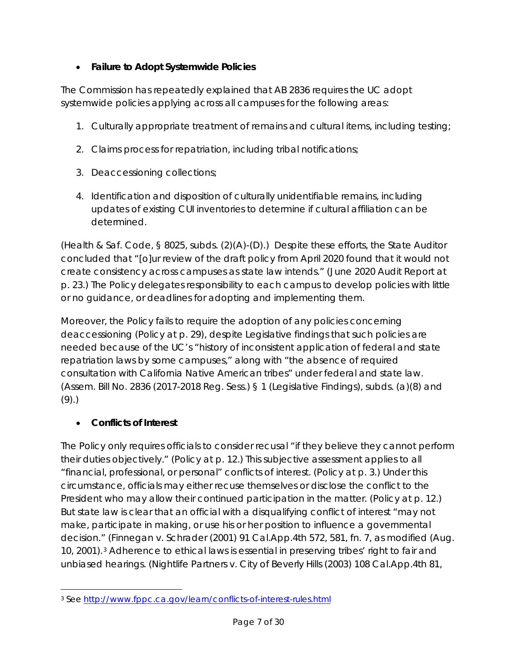### • **Failure to Adopt Systemwide Policies**

The Commission has repeatedly explained that AB 2836 requires the UC adopt systemwide policies applying across all campuses for the following areas:

- 1. Culturally appropriate treatment of remains and cultural items, including testing;
- 2. Claims process for repatriation, including tribal notifications;
- 3. Deaccessioning collections;
- 4. Identification and disposition of culturally unidentifiable remains, including updates of existing CUI inventories to determine if cultural affiliation can be determined.

(Health & Saf. Code, § 8025, subds. (2)(A)-(D).) Despite these efforts, the State Auditor concluded that "[o]ur review of the draft policy from April 2020 found that it would not create consistency across campuses as state law intends." (June 2020 Audit Report at p. 23.) The Policy delegates responsibility to each campus to develop policies with little or no guidance, or deadlines for adopting and implementing them.

Moreover, the Policy fails to require the adoption of any policies concerning deaccessioning (Policy at p. 29), despite Legislative findings that such policies are needed because of the UC's "history of inconsistent application of federal and state repatriation laws by some campuses," along with "the absence of required consultation with California Native American tribes" under federal and state law. (Assem. Bill No. 2836 (2017-2018 Reg. Sess.) § 1 (Legislative Findings), subds. (a)(8) and (9).)

### • **Conflicts of Interest**

The Policy only requires officials to consider recusal "if they believe they cannot perform their duties objectively." (Policy at p. 12.) This subjective assessment applies to all "financial, professional, or personal" conflicts of interest. (Policy at p. 3.) Under this circumstance, officials may either recuse themselves or disclose the conflict to the President who may allow their continued participation in the matter. (Policy at p. 12.) But state law is clear that an official with a disqualifying conflict of interest "may not make, participate in making, or use his or her position to influence a governmental decision." (*Finnegan v. Schrader* (2001) 91 Cal.App.4th 572, 581, fn. 7, *as modified (Aug. 10, 2001).[3](#page-6-0)* Adherence to ethical laws is essential in preserving tribes' right to fair and unbiased hearings. (*Nightlife Partners v. City of Beverly Hills* (2003) 108 Cal.App.4th 81,

<span id="page-6-0"></span> $\overline{a}$ <sup>3</sup> See<http://www.fppc.ca.gov/learn/conflicts-of-interest-rules.html>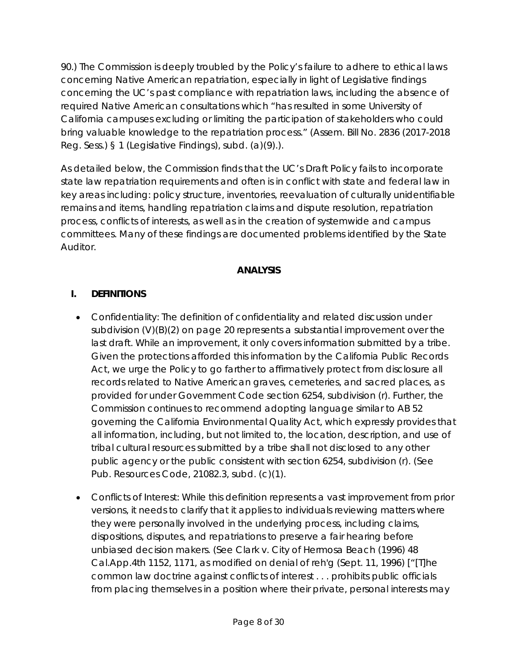90.) The Commission is deeply troubled by the Policy's failure to adhere to ethical laws concerning Native American repatriation, especially in light of Legislative findings concerning the UC's past compliance with repatriation laws, including the absence of required Native American consultations which "has resulted in some University of California campuses excluding or limiting the participation of stakeholders who could bring valuable knowledge to the repatriation process." (Assem. Bill No. 2836 (2017-2018 Reg. Sess.) § 1 (Legislative Findings), subd. (a)(9).).

As detailed below, the Commission finds that the UC's Draft Policy fails to incorporate state law repatriation requirements and often is in conflict with state and federal law in key areas including: policy structure, inventories, reevaluation of culturally unidentifiable remains and items, handling repatriation claims and dispute resolution, repatriation process, conflicts of interests, as well as in the creation of systemwide and campus committees. Many of these findings are documented problems identified by the State Auditor.

#### **ANALYSIS**

#### **I. DEFINITIONS**

- Confidentiality: The definition of confidentiality and related discussion under subdivision (V)(B)(2) on page 20 represents a substantial improvement over the last draft. While an improvement, it only covers information submitted by a tribe. Given the protections afforded this information by the California Public Records Act, we urge the Policy to go farther to affirmatively protect from disclosure all records related to Native American graves, cemeteries, and sacred places, as provided for under Government Code section 6254, subdivision (r). Further, the Commission continues to recommend adopting language similar to AB 52 governing the California Environmental Quality Act, which expressly provides that all information, including, but not limited to, the location, description, and use of tribal cultural resources submitted by a tribe shall not disclosed to any other public agency or the public consistent with section 6254, subdivision (r). (See Pub. Resources Code, 21082.3, subd. (c)(1).
- Conflicts of Interest: While this definition represents a vast improvement from prior versions, it needs to clarify that it applies to individuals reviewing matters where they were personally involved in the underlying process, including claims, dispositions, disputes, and repatriations to preserve a fair hearing before unbiased decision makers. (See *Clark v. City of Hermosa Beach* (1996) 48 Cal.App.4th 1152, 1171, as modified on denial of reh'g (Sept. 11, 1996) ["[T]he common law doctrine against conflicts of interest . . . prohibits public officials from placing themselves in a position where their private, personal interests may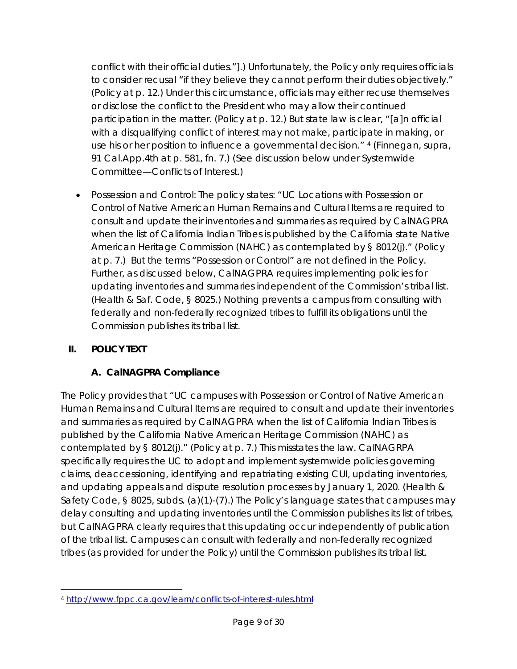conflict with their official duties."].) Unfortunately, the Policy only requires officials to consider recusal "if they believe they cannot perform their duties objectively." (Policy at p. 12.) Under this circumstance, officials may either recuse themselves or disclose the conflict to the President who may allow their continued participation in the matter. (Policy at p. 12.) But state law is clear, "[a]n official with a disqualifying conflict of interest may not make, participate in making, or use his or her position to influence a governmental decision." [4](#page-8-0) (*Finnegan, supra,* 91 Cal.App.4th at p. 581, fn. 7.) (See discussion below under Systemwide Committee—Conflicts of Interest.)

• Possession and Control: The policy states: "UC Locations with Possession or Control of Native American Human Remains and Cultural Items are required to consult and update their inventories and summaries as required by CalNAGPRA when the list of California Indian Tribes is published by the California state Native American Heritage Commission (NAHC) as contemplated by § 8012(j)." (Policy at p. 7.) But the terms "Possession or Control" are not defined in the Policy. Further, as discussed below, CalNAGPRA requires implementing policies for updating inventories and summaries independent of the Commission's tribal list. (Health & Saf. Code, § 8025.) Nothing prevents a campus from consulting with federally and non-federally recognized tribes to fulfill its obligations until the Commission publishes its tribal list.

### **II. POLICY TEXT**

#### **A. CalNAGPRA Compliance**

The Policy provides that "UC campuses with Possession or Control of Native American Human Remains and Cultural Items are required to consult and update their inventories and summaries as required by CalNAGPRA when the list of California Indian Tribes is published by the California Native American Heritage Commission (NAHC) as contemplated by § 8012(j)." (Policy at p. 7.) This misstates the law. CalNAGRPA specifically requires the UC to adopt and implement systemwide policies governing claims, deaccessioning, identifying and repatriating existing CUI, updating inventories, and updating appeals and dispute resolution processes by January 1, 2020. (Health & Safety Code, § 8025, subds. (a)(1)-(7).) The Policy's language states that campuses may delay consulting and updating inventories until the Commission publishes its list of tribes, but CalNAGPRA clearly requires that this updating occur independently of publication of the tribal list. Campuses can consult with federally and non-federally recognized tribes (as provided for under the Policy) until the Commission publishes its tribal list.

<span id="page-8-0"></span> $\overline{a}$ <sup>4</sup> <http://www.fppc.ca.gov/learn/conflicts-of-interest-rules.html>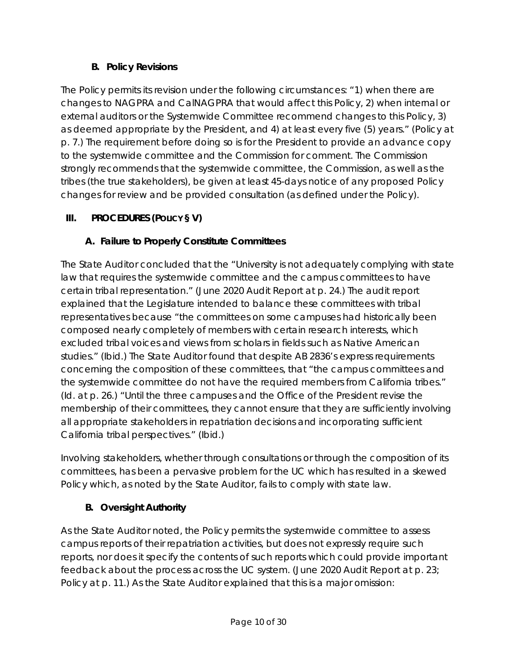### **B. Policy Revisions**

The Policy permits its revision under the following circumstances: "1) when there are changes to NAGPRA and CalNAGPRA that would affect this Policy, 2) when internal or external auditors or the Systemwide Committee recommend changes to this Policy, 3) as deemed appropriate by the President, and 4) at least every five (5) years." (Policy at p. 7.) The requirement before doing so is for the President to provide an advance copy to the systemwide committee and the Commission for comment. The Commission strongly recommends that the systemwide committee, the Commission, as well as the tribes (the true stakeholders), be given at least 45-days notice of any proposed Policy changes for review and be provided consultation (as defined under the Policy).

### **III. PROCEDURES (POLICY § V)**

### **A. Failure to Properly Constitute Committees**

The State Auditor concluded that the "University is not adequately complying with state law that requires the systemwide committee and the campus committees to have certain tribal representation." (June 2020 Audit Report at p. 24.) The audit report explained that the Legislature intended to balance these committees with tribal representatives because "the committees on some campuses had historically been composed nearly completely of members with certain research interests, which excluded tribal voices and views from scholars in fields such as Native American studies." (*Ibid.*) The State Auditor found that despite AB 2836's express requirements concerning the composition of these committees, that "the campus committees and the systemwide committee do not have the required members from California tribes." (*Id*. at p. 26.) "Until the three campuses and the Office of the President revise the membership of their committees, they cannot ensure that they are sufficiently involving all appropriate stakeholders in repatriation decisions and incorporating sufficient California tribal perspectives." (*Ibid.*)

Involving stakeholders, whether through consultations or through the composition of its committees, has been a pervasive problem for the UC which has resulted in a skewed Policy which, as noted by the State Auditor, fails to comply with state law.

### **B. Oversight Authority**

As the State Auditor noted, the Policy permits the systemwide committee to assess campus reports of their repatriation activities, but does not expressly require such reports, nor does it specify the contents of such reports which could provide important feedback about the process across the UC system. (June 2020 Audit Report at p. 23; Policy at p. 11.) As the State Auditor explained that this is a major omission: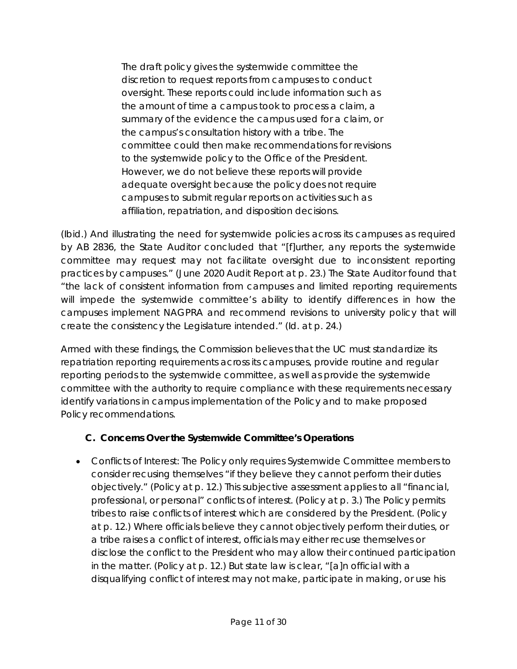The draft policy gives the systemwide committee the discretion to request reports from campuses to conduct oversight. These reports could include information such as the amount of time a campus took to process a claim, a summary of the evidence the campus used for a claim, or the campus's consultation history with a tribe. The committee could then make recommendations for revisions to the systemwide policy to the Office of the President. However, we do not believe these reports will provide adequate oversight because the policy does not require campuses to submit regular reports on activities such as affiliation, repatriation, and disposition decisions.

(*Ibid.*) And illustrating the need for systemwide policies across its campuses as required by AB 2836, the State Auditor concluded that "[f]urther, any reports the systemwide committee may request may not facilitate oversight due to inconsistent reporting practices by campuses." (June 2020 Audit Report at p. 23.) The State Auditor found that "the lack of consistent information from campuses and limited reporting requirements will impede the systemwide committee's ability to identify differences in how the campuses implement NAGPRA and recommend revisions to university policy that will create the consistency the Legislature intended." (*Id.* at p. 24.)

Armed with these findings, the Commission believes that the UC must standardize its repatriation reporting requirements across its campuses, provide routine and regular reporting periods to the systemwide committee, as well as provide the systemwide committee with the authority to require compliance with these requirements necessary identify variations in campus implementation of the Policy and to make proposed Policy recommendations.

#### **C. Concerns Over the Systemwide Committee's Operations**

• *Conflicts of Interest:* The Policy only requires Systemwide Committee members to consider recusing themselves "if they believe they cannot perform their duties objectively." (Policy at p. 12.) This subjective assessment applies to all "financial, professional, or personal" conflicts of interest. (Policy at p. 3.) The Policy permits tribes to raise conflicts of interest which are considered by the President. (Policy at p. 12.) Where officials believe they cannot objectively perform their duties, or a tribe raises a conflict of interest, officials may either recuse themselves or disclose the conflict to the President who may allow their continued participation in the matter. (Policy at p. 12.) But state law is clear, "[a]n official with a disqualifying conflict of interest may not make, participate in making, or use his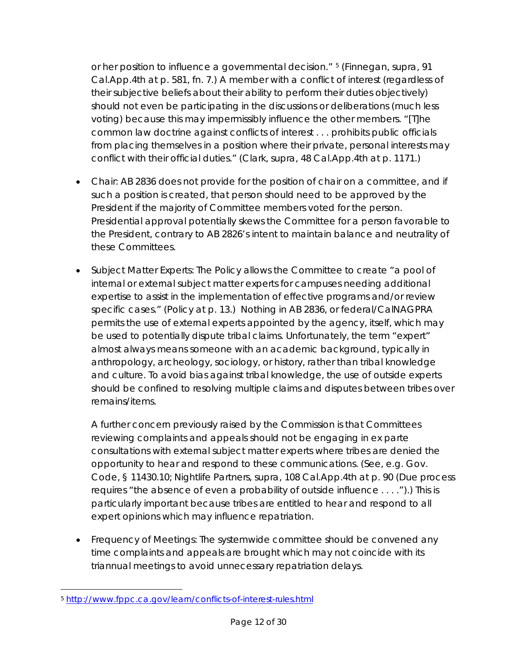or her position to influence a governmental decision." [5](#page-11-0) (*Finnegan, supra,* 91 Cal.App.4th at p. 581, fn. 7.) A member with a conflict of interest (regardless of their subjective beliefs about their ability to perform their duties objectively) should not even be participating in the discussions or deliberations (much less voting) because this may impermissibly influence the other members. "[T]he common law doctrine against conflicts of interest . . . prohibits public officials from placing themselves in a position where their private, personal interests may conflict with their official duties." (*Clark, supra,* 48 Cal.App.4th at p. 1171.)

- *Chair*: AB 2836 does not provide for the position of chair on a committee, and if such a position is created, that person should need to be approved by the President if the majority of Committee members voted for the person. Presidential approval potentially skews the Committee for a person favorable to the President, contrary to AB 2826's intent to maintain balance and neutrality of these Committees.
- *Subject Matter Experts*: The Policy allows the Committee to create "a pool of internal or external subject matter experts for campuses needing additional expertise to assist in the implementation of effective programs and/or review specific cases." (Policy at p. 13.) Nothing in AB 2836, or federal/CalNAGPRA permits the use of external experts appointed by the agency, itself, which may be used to potentially dispute tribal claims. Unfortunately, the term "expert" almost always means someone with an academic background, typically in anthropology, archeology, sociology, or history, rather than tribal knowledge and culture. To avoid bias against tribal knowledge, the use of outside experts should be confined to resolving multiple claims and disputes between tribes over remains/items.

A further concern previously raised by the Commission is that Committees reviewing complaints and appeals should not be engaging in *ex parte* consultations with external subject matter experts where tribes are denied the opportunity to hear and respond to these communications. (See, e.g. Gov. Code, § 11430.10; *Nightlife Partners, supra,* 108 Cal.App.4th at p. 90 (Due process requires "the absence of even a probability of outside influence . . . .").) This is particularly important because tribes are entitled to hear and respond to all expert opinions which may influence repatriation.

• *Frequency of Meetings*: The systemwide committee should be convened any time complaints and appeals are brought which may not coincide with its triannual meetings to avoid unnecessary repatriation delays.

<span id="page-11-0"></span> $\overline{a}$ <sup>5</sup> <http://www.fppc.ca.gov/learn/conflicts-of-interest-rules.html>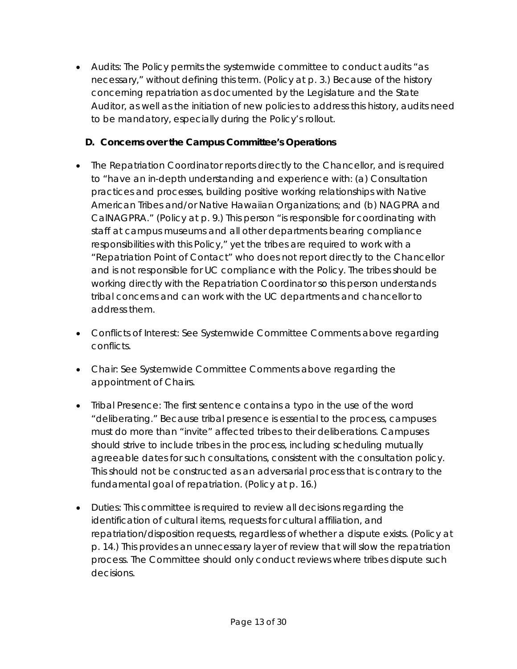• *Audits*: The Policy permits the systemwide committee to conduct audits "as necessary," without defining this term. (Policy at p. 3.) Because of the history concerning repatriation as documented by the Legislature and the State Auditor, as well as the initiation of new policies to address this history, audits need to be mandatory, especially during the Policy's rollout.

#### **D. Concerns over the Campus Committee's Operations**

- The Repatriation Coordinator reports directly to the Chancellor, and is required to "have an in-depth understanding and experience with: (a) Consultation practices and processes, building positive working relationships with Native American Tribes and/or Native Hawaiian Organizations; and (b) NAGPRA and CalNAGPRA." (Policy at p. 9.) This person "is responsible for coordinating with staff at campus museums and all other departments bearing compliance responsibilities with this Policy," yet the tribes are required to work with a "Repatriation Point of Contact" who does not report directly to the Chancellor and is not responsible for UC compliance with the Policy. The tribes should be working directly with the Repatriation Coordinator so this person understands tribal concerns and can work with the UC departments and chancellor to address them.
- *Conflicts of Interest*: See Systemwide Committee Comments above regarding conflicts.
- *Chair:* See Systemwide Committee Comments above regarding the appointment of Chairs.
- *Tribal Presence*: The first sentence contains a typo in the use of the word "deliberating." Because tribal presence is essential to the process, campuses must do more than "invite" affected tribes to their deliberations. Campuses should strive to include tribes in the process, including scheduling mutually agreeable dates for such consultations, consistent with the consultation policy. This should not be constructed as an adversarial process that is contrary to the fundamental goal of repatriation. (Policy at p. 16.)
- *Duties*: This committee is required to review all decisions regarding the identification of cultural items, requests for cultural affiliation, and repatriation/disposition requests, regardless of whether a dispute exists. (Policy at p. 14.) This provides an unnecessary layer of review that will slow the repatriation process. The Committee should only conduct reviews where tribes dispute such decisions.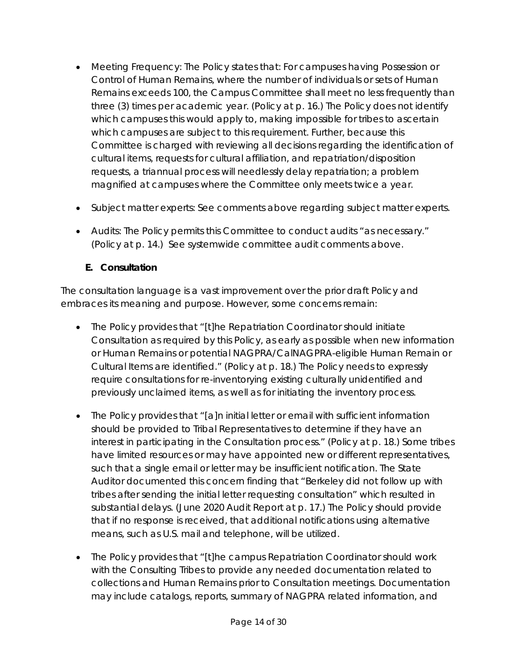- *Meeting Frequency:* The Policy states that: For campuses having Possession or Control of Human Remains, where the number of individuals or sets of Human Remains exceeds 100, the Campus Committee shall meet no less frequently than three (3) times per academic year. (Policy at p. 16.) The Policy does not identify which campuses this would apply to, making impossible for tribes to ascertain which campuses are subject to this requirement. Further, because this Committee is charged with reviewing all decisions regarding the identification of cultural items, requests for cultural affiliation, and repatriation/disposition requests, a triannual process will needlessly delay repatriation; a problem magnified at campuses where the Committee only meets twice a year.
- *Subject matter experts*: See comments above regarding subject matter experts.
- *Audits*: The Policy permits this Committee to conduct audits "as necessary." (Policy at p. 14.) See systemwide committee audit comments above.

### **E. Consultation**

The consultation language is a vast improvement over the prior draft Policy and embraces its meaning and purpose. However, some concerns remain:

- The Policy provides that "[t]he Repatriation Coordinator should initiate Consultation as required by this Policy, as early as possible when new information or Human Remains or potential NAGPRA/CalNAGPRA-eligible Human Remain or Cultural Items are identified." (Policy at p. 18.) The Policy needs to expressly require consultations for re-inventorying existing culturally unidentified and previously unclaimed items, as well as for initiating the inventory process.
- The Policy provides that "[a]n initial letter or email with sufficient information should be provided to Tribal Representatives to determine if they have an interest in participating in the Consultation process." (Policy at p. 18.) Some tribes have limited resources or may have appointed new or different representatives, such that a single email or letter may be insufficient notification. The State Auditor documented this concern finding that "Berkeley did not follow up with tribes after sending the initial letter requesting consultation" which resulted in substantial delays. (June 2020 Audit Report at p. 17.) The Policy should provide that if no response is received, that additional notifications using alternative means, such as U.S. mail and telephone, will be utilized.
- The Policy provides that "[t]he campus Repatriation Coordinator should work with the Consulting Tribes to provide any needed documentation related to collections and Human Remains prior to Consultation meetings. Documentation may include catalogs, reports, summary of NAGPRA related information, and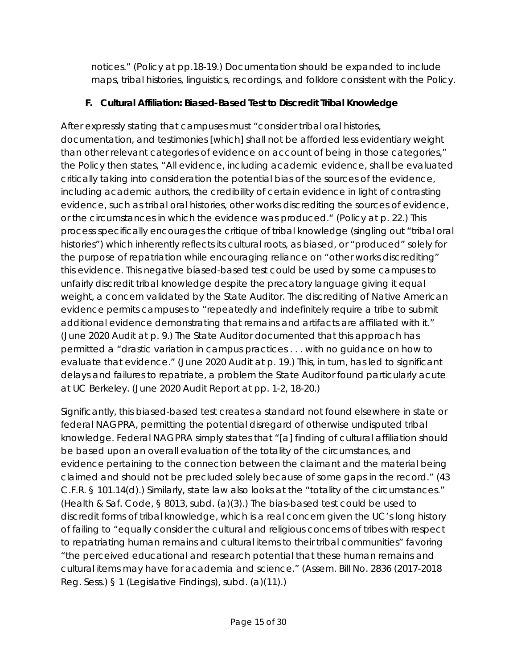notices." (Policy at pp.18-19.) Documentation should be expanded to include maps, tribal histories, linguistics, recordings, and folklore consistent with the Policy.

### **F. Cultural Affiliation: Biased-Based Test to Discredit Tribal Knowledge**

After expressly stating that campuses must "consider tribal oral histories, documentation, and testimonies [which] shall not be afforded less evidentiary weight than other relevant categories of evidence on account of being in those categories," the Policy then states, "All evidence, including academic evidence, shall be evaluated critically taking into consideration the potential bias of the sources of the evidence, including academic authors, the credibility of certain evidence in light of contrasting evidence, such as tribal oral histories, other works discrediting the sources of evidence, or the circumstances in which the evidence was produced." (Policy at p. 22.) This process specifically encourages the critique of tribal knowledge (singling out "tribal oral histories") which inherently reflects its cultural roots, as biased, or "produced" solely for the purpose of repatriation while encouraging reliance on "other works discrediting" this evidence. This negative biased-based test could be used by some campuses to unfairly discredit tribal knowledge despite the precatory language giving it equal weight, a concern validated by the State Auditor. The discrediting of Native American evidence permits campuses to "repeatedly and indefinitely require a tribe to submit additional evidence demonstrating that remains and artifacts are affiliated with it." (June 2020 Audit at p. 9.) The State Auditor documented that this approach has permitted a "drastic variation in campus practices . . . with no guidance on how to evaluate that evidence." (June 2020 Audit at p. 19.) This, in turn, has led to significant delays and failures to repatriate, a problem the State Auditor found particularly acute at UC Berkeley. (June 2020 Audit Report at pp. 1-2, 18-20.)

Significantly, this biased-based test creates a standard not found elsewhere in state or federal NAGPRA, permitting the potential disregard of otherwise undisputed tribal knowledge. Federal NAGPRA simply states that "[a] finding of cultural affiliation should be based upon an overall evaluation of the totality of the circumstances, and evidence pertaining to the connection between the claimant and the material being claimed and should not be precluded solely because of some gaps in the record." (43 C.F.R. § 101.14(d).) Similarly, state law also looks at the "totality of the circumstances." (Health & Saf. Code, § 8013, subd. (a)(3).) The bias-based test could be used to discredit forms of tribal knowledge, which is a real concern given the UC's long history of failing to "equally consider the cultural and religious concerns of tribes with respect to repatriating human remains and cultural items to their tribal communities" favoring "the perceived educational and research potential that these human remains and cultural items may have for academia and science." (Assem. Bill No. 2836 (2017-2018 Reg. Sess.) § 1 (Legislative Findings), subd. (a)(11).)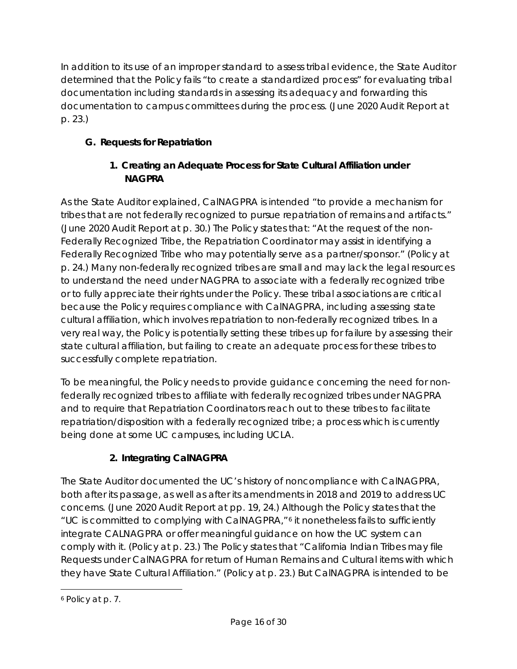In addition to its use of an improper standard to assess tribal evidence, the State Auditor determined that the Policy fails "to create a standardized process" for evaluating tribal documentation including standards in assessing its adequacy and forwarding this documentation to campus committees during the process. (June 2020 Audit Report at p. 23.)

## **G. Requests for Repatriation**

### **1. Creating an Adequate Process for State Cultural Affiliation under NAGPRA**

As the State Auditor explained, CalNAGPRA is intended "to provide a mechanism for tribes that are not federally recognized to pursue repatriation of remains and artifacts." (June 2020 Audit Report at p. 30.) The Policy states that: "At the request of the non-Federally Recognized Tribe, the Repatriation Coordinator may assist in identifying a Federally Recognized Tribe who may potentially serve as a partner/sponsor." (Policy at p. 24.) Many non-federally recognized tribes are small and may lack the legal resources to understand the need under NAGPRA to associate with a federally recognized tribe or to fully appreciate their rights under the Policy. These tribal associations are critical because the Policy requires compliance with CalNAGPRA, including assessing state cultural affiliation, which involves repatriation to non-federally recognized tribes. In a very real way, the Policy is potentially setting these tribes up for failure by assessing their state cultural affiliation, but failing to create an adequate process for these tribes to successfully complete repatriation.

To be meaningful, the Policy needs to provide guidance concerning the need for nonfederally recognized tribes to affiliate with federally recognized tribes under NAGPRA and to require that Repatriation Coordinators reach out to these tribes to facilitate repatriation/disposition with a federally recognized tribe; a process which is currently being done at some UC campuses, including UCLA.

# **2. Integrating CalNAGPRA**

The State Auditor documented the UC's history of noncompliance with CalNAGPRA, both after its passage, as well as after its amendments in 2018 and 2019 to address UC concerns. (June 2020 Audit Report at pp. 19, 24.) Although the Policy states that the "UC is committed to complying with CalNAGPRA,"[6](#page-15-0) it nonetheless fails to sufficiently integrate CALNAGPRA or offer meaningful guidance on how the UC system can comply with it. (Policy at p. 23.) The Policy states that "California Indian Tribes may file Requests under CalNAGPRA for return of Human Remains and Cultural items with which they have State Cultural Affiliation." (Policy at p. 23.) But CalNAGPRA is intended to be

<span id="page-15-0"></span> $\overline{a}$ <sup>6</sup> Policy at p. 7.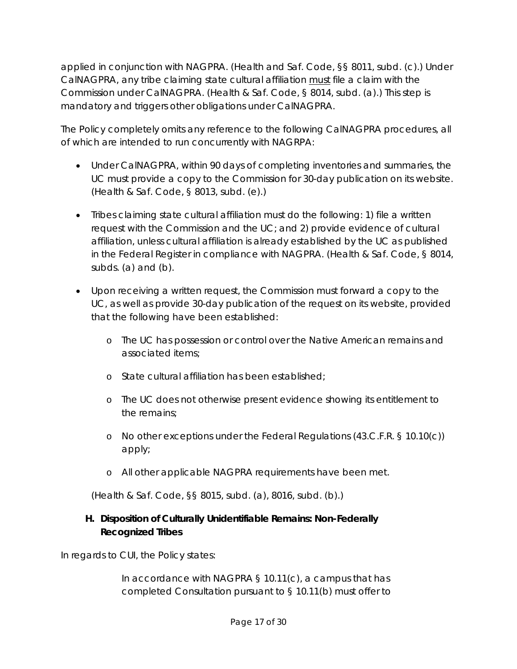applied in conjunction with NAGPRA. (Health and Saf. Code, §§ 8011, subd. (c).) Under CalNAGPRA, any tribe claiming state cultural affiliation must file a claim with the Commission under CalNAGPRA. (Health & Saf. Code, § 8014, subd. (a).) This step is mandatory and triggers other obligations under CalNAGPRA.

The Policy completely omits any reference to the following CalNAGPRA procedures, all of which are intended to run concurrently with NAGRPA:

- Under CalNAGPRA, within 90 days of completing inventories and summaries, the UC must provide a copy to the Commission for 30-day publication on its website. (Health & Saf. Code, § 8013, subd. (e).)
- Tribes claiming state cultural affiliation must do the following: 1) file a written request with the Commission and the UC; and 2) provide evidence of cultural affiliation, unless cultural affiliation is already established by the UC as published in the Federal Register in compliance with NAGPRA. (Health & Saf. Code, § 8014, subds. (a) and (b).
- Upon receiving a written request, the Commission must forward a copy to the UC, as well as provide 30-day publication of the request on its website, provided that the following have been established:
	- o The UC has possession or control over the Native American remains and associated items;
	- o State cultural affiliation has been established;
	- o The UC does not otherwise present evidence showing its entitlement to the remains;
	- o No other exceptions under the Federal Regulations (43.C.F.R. § 10.10(c)) apply;
	- o All other applicable NAGPRA requirements have been met.

(Health & Saf. Code, §§ 8015, subd. (a), 8016, subd. (b).)

#### **H. Disposition of Culturally Unidentifiable Remains: Non-Federally Recognized Tribes**

In regards to CUI, the Policy states:

In accordance with NAGPRA § 10.11(c), a campus that has completed Consultation pursuant to § 10.11(b) must offer to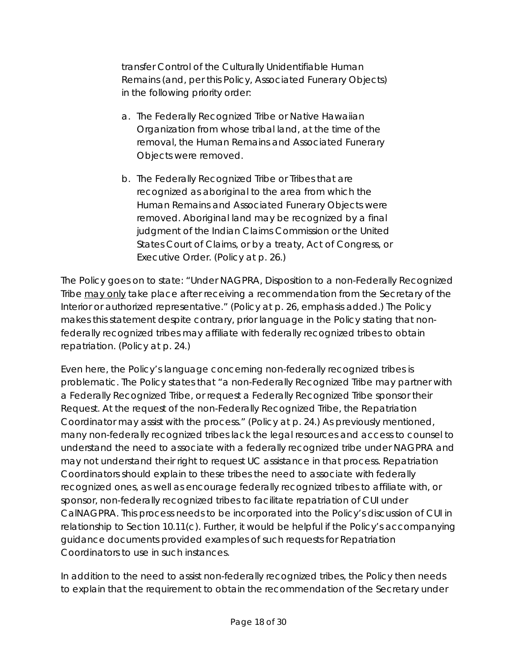transfer Control of the Culturally Unidentifiable Human Remains (and, per this Policy, Associated Funerary Objects) in the following priority order:

- a. The Federally Recognized Tribe or Native Hawaiian Organization from whose tribal land, at the time of the removal, the Human Remains and Associated Funerary Objects were removed.
- b. The Federally Recognized Tribe or Tribes that are recognized as aboriginal to the area from which the Human Remains and Associated Funerary Objects were removed. Aboriginal land may be recognized by a final judgment of the Indian Claims Commission or the United States Court of Claims, or by a treaty, Act of Congress, or Executive Order. (Policy at p. 26.)

The Policy goes on to state: "Under NAGPRA, Disposition to a non-Federally Recognized Tribe may only take place after receiving a recommendation from the Secretary of the Interior or authorized representative." (Policy at p. 26, emphasis added.) The Policy makes this statement despite contrary, prior language in the Policy stating that nonfederally recognized tribes may affiliate with federally recognized tribes to obtain repatriation. (Policy at p. 24.)

Even here, the Policy's language concerning non-federally recognized tribes is problematic. The Policy states that "a non-Federally Recognized Tribe may partner with a Federally Recognized Tribe, or request a Federally Recognized Tribe sponsor their Request. At the request of the non-Federally Recognized Tribe, the Repatriation Coordinator may assist with the process." (Policy at p. 24.) As previously mentioned, many non-federally recognized tribes lack the legal resources and access to counsel to understand the need to associate with a federally recognized tribe under NAGPRA and may not understand their right to request UC assistance in that process. Repatriation Coordinators should explain to these tribes the need to associate with federally recognized ones, as well as encourage federally recognized tribes to affiliate with, or sponsor, non-federally recognized tribes to facilitate repatriation of CUI under CalNAGPRA. This process needs to be incorporated into the Policy's discussion of CUI in relationship to Section 10.11(c). Further, it would be helpful if the Policy's accompanying guidance documents provided examples of such requests for Repatriation Coordinators to use in such instances.

In addition to the need to assist non-federally recognized tribes, the Policy then needs to explain that the requirement to obtain the recommendation of the Secretary under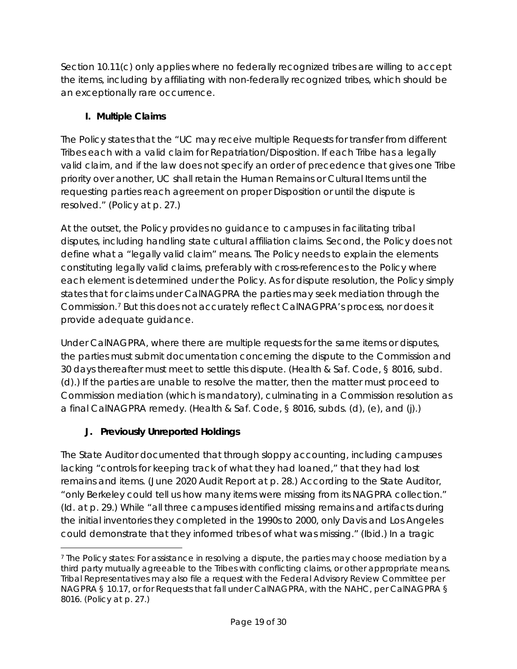Section 10.11(c) only applies where no federally recognized tribes are willing to accept the items, including by affiliating with non-federally recognized tribes, which should be an exceptionally rare occurrence.

### **I. Multiple Claims**

The Policy states that the "UC may receive multiple Requests for transfer from different Tribes each with a valid claim for Repatriation/Disposition. If each Tribe has a legally valid claim, and if the law does not specify an order of precedence that gives one Tribe priority over another, UC shall retain the Human Remains or Cultural Items until the requesting parties reach agreement on proper Disposition or until the dispute is resolved." (Policy at p. 27.)

At the outset, the Policy provides no guidance to campuses in facilitating tribal disputes, including handling state cultural affiliation claims. Second, the Policy does not define what a "legally valid claim" means. The Policy needs to explain the elements constituting legally valid claims, preferably with cross-references to the Policy where each element is determined under the Policy. As for dispute resolution, the Policy simply states that for claims under CalNAGPRA the parties may seek mediation through the Commission.[7](#page-18-0) But this does not accurately reflect CalNAGPRA's process, nor does it provide adequate guidance.

Under CalNAGPRA, where there are multiple requests for the same items or disputes, the parties must submit documentation concerning the dispute to the Commission and 30 days thereafter must meet to settle this dispute. (Health & Saf. Code, § 8016, subd. (d).) If the parties are unable to resolve the matter, then the matter must proceed to Commission mediation (which is mandatory), culminating in a Commission resolution as a final CalNAGPRA remedy. (Health & Saf. Code, § 8016, subds. (d), (e), and (j).)

### **J. Previously Unreported Holdings**

The State Auditor documented that through sloppy accounting, including campuses lacking "controls for keeping track of what they had loaned," that they had lost remains and items. (June 2020 Audit Report at p. 28.) According to the State Auditor, "only Berkeley could tell us how many items were missing from its NAGPRA collection." (*Id.* at p. 29.) While "all three campuses identified missing remains and artifacts during the initial inventories they completed in the 1990s to 2000, only Davis and Los Angeles could demonstrate that they informed tribes of what was missing." (*Ibid.*) In a tragic

<span id="page-18-0"></span> $\overline{a}$ <sup>7</sup> The Policy states: For assistance in resolving a dispute, the parties may choose mediation by a third party mutually agreeable to the Tribes with conflicting claims, or other appropriate means. Tribal Representatives may also file a request with the Federal Advisory Review Committee per NAGPRA § 10.17, or for Requests that fall under CalNAGPRA, with the NAHC, per CalNAGPRA § 8016. (Policy at p. 27.)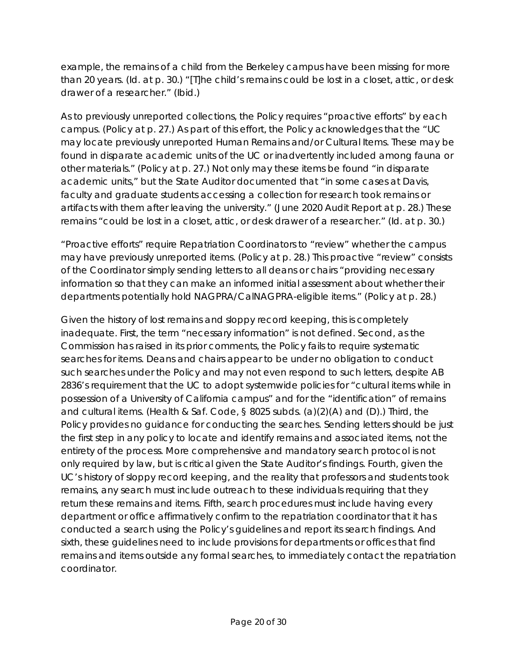example, the remains of a child from the Berkeley campus have been missing for more than 20 years. (*Id.* at p. 30.) "[T]he child's remains could be lost in a closet, attic, or desk drawer of a researcher." (*Ibid.*)

As to previously unreported collections, the Policy requires "proactive efforts" by each campus. (Policy at p. 27.) As part of this effort, the Policy acknowledges that the "UC may locate previously unreported Human Remains and/or Cultural Items. These may be found in disparate academic units of the UC or inadvertently included among fauna or other materials." (Policy at p. 27.) Not only may these items be found "in disparate academic units," but the State Auditor documented that "in some cases at Davis, faculty and graduate students accessing a collection for research took remains or artifacts with them after leaving the university." (June 2020 Audit Report at p. 28.) These remains "could be lost in a closet, attic, or desk drawer of a researcher." (*Id.* at p. 30*.*)

"Proactive efforts" require Repatriation Coordinators to "review" whether the campus may have previously unreported items. (Policy at p. 28.) This proactive "review" consists of the Coordinator simply sending letters to all deans or chairs "providing necessary information so that they can make an informed initial assessment about whether their departments potentially hold NAGPRA/CalNAGPRA-eligible items." (Policy at p. 28.)

Given the history of lost remains and sloppy record keeping, this is completely inadequate. First, the term "necessary information" is not defined. Second, as the Commission has raised in its prior comments, the Policy fails to require systematic searches for items. Deans and chairs appear to be under no obligation to conduct such searches under the Policy and may not even respond to such letters, despite AB 2836's requirement that the UC to adopt systemwide policies for "cultural items while in possession of a University of California campus" and for the "identification" of remains and cultural items. (Health & Saf. Code, § 8025 subds. (a)(2)(A) and (D).) Third, the Policy provides no guidance for conducting the searches. Sending letters should be just the first step in any policy to locate and identify remains and associated items, not the entirety of the process. More comprehensive and mandatory search protocol is not only required by law, but is critical given the State Auditor's findings. Fourth, given the UC's history of sloppy record keeping, and the reality that professors and students took remains, any search must include outreach to these individuals requiring that they return these remains and items. Fifth, search procedures must include having every department or office affirmatively confirm to the repatriation coordinator that it has conducted a search using the Policy's guidelines and report its search findings. And sixth, these guidelines need to include provisions for departments or offices that find remains and items outside any formal searches, to immediately contact the repatriation coordinator.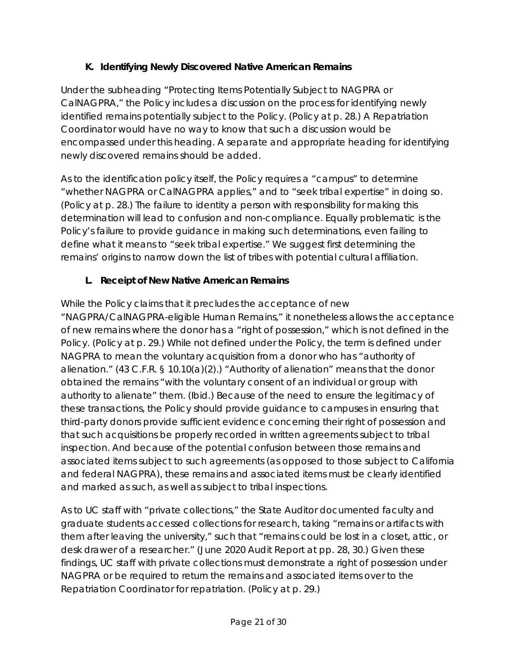### **K. Identifying Newly Discovered Native American Remains**

Under the subheading "Protecting Items Potentially Subject to NAGPRA or CalNAGPRA," the Policy includes a discussion on the process for identifying newly identified remains potentially subject to the Policy. (Policy at p. 28.) A Repatriation Coordinator would have no way to know that such a discussion would be encompassed under this heading. A separate and appropriate heading for identifying newly discovered remains should be added.

As to the identification policy itself, the Policy requires a "campus" to determine "whether NAGPRA or CalNAGPRA applies," and to "seek tribal expertise" in doing so. (Policy at p. 28.) The failure to identity a person with responsibility for making this determination will lead to confusion and non-compliance. Equally problematic is the Policy's failure to provide guidance in making such determinations, even failing to define what it means to "seek tribal expertise." We suggest first determining the remains' origins to narrow down the list of tribes with potential cultural affiliation.

### **L. Receipt of New Native American Remains**

While the Policy claims that it precludes the acceptance of new "NAGPRA/CalNAGPRA-eligible Human Remains," it nonetheless allows the acceptance of new remains where the donor has a "right of possession," which is not defined in the Policy. (Policy at p. 29.) While not defined under the Policy, the term is defined under NAGPRA to mean the voluntary acquisition from a donor who has "authority of alienation." (43 C.F.R. § 10.10(a)(2).) "Authority of alienation" means that the donor obtained the remains "with the voluntary consent of an individual or group with authority to alienate" them. (*Ibid.*) Because of the need to ensure the legitimacy of these transactions, the Policy should provide guidance to campuses in ensuring that third-party donors provide sufficient evidence concerning their right of possession and that such acquisitions be properly recorded in written agreements subject to tribal inspection. And because of the potential confusion between those remains and associated items subject to such agreements (as opposed to those subject to California and federal NAGPRA), these remains and associated items must be clearly identified and marked as such, as well as subject to tribal inspections.

As to UC staff with "private collections," the State Auditor documented faculty and graduate students accessed collections for research, taking "remains or artifacts with them after leaving the university," such that "remains could be lost in a closet, attic, or desk drawer of a researcher." (June 2020 Audit Report at pp. 28, 30.) Given these findings, UC staff with private collections must demonstrate a right of possession under NAGPRA or be required to return the remains and associated items over to the Repatriation Coordinator for repatriation. (Policy at p. 29.)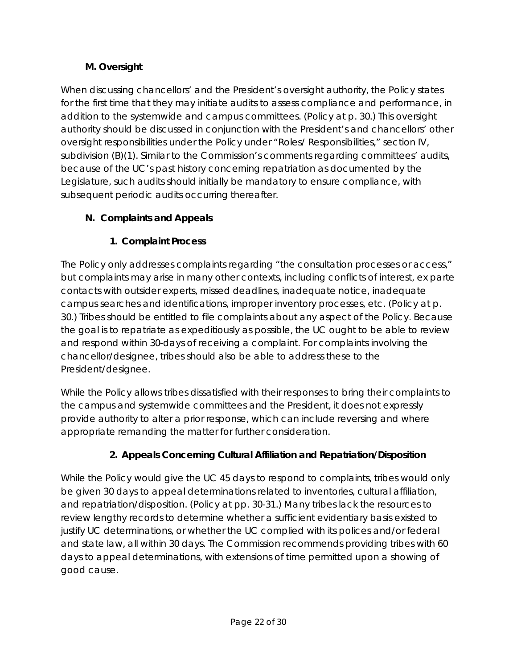### **M. Oversight**

When discussing chancellors' and the President's oversight authority, the Policy states for the first time that they may initiate audits to assess compliance and performance, in addition to the systemwide and campus committees. (Policy at p. 30.) This oversight authority should be discussed in conjunction with the President's and chancellors' other oversight responsibilities under the Policy under "Roles/ Responsibilities," section IV, subdivision (B)(1). Similar to the Commission's comments regarding committees' audits, because of the UC's past history concerning repatriation as documented by the Legislature, such audits should initially be mandatory to ensure compliance, with subsequent periodic audits occurring thereafter.

### **N. Complaints and Appeals**

### **1. Complaint Process**

The Policy only addresses complaints regarding "the consultation processes or access," but complaints may arise in many other contexts, including conflicts of interest, *ex parte* contacts with outsider experts, missed deadlines, inadequate notice, inadequate campus searches and identifications, improper inventory processes, etc. (Policy at p. 30.) Tribes should be entitled to file complaints about any aspect of the Policy. Because the goal is to repatriate as expeditiously as possible, the UC ought to be able to review and respond within 30-days of receiving a complaint. For complaints involving the chancellor/designee, tribes should also be able to address these to the President/designee.

While the Policy allows tribes dissatisfied with their responses to bring their complaints to the campus and systemwide committees and the President, it does not expressly provide authority to alter a prior response, which can include reversing and where appropriate remanding the matter for further consideration.

### **2. Appeals Concerning Cultural Affiliation and Repatriation/Disposition**

While the Policy would give the UC 45 days to respond to complaints, tribes would only be given 30 days to appeal determinations related to inventories, cultural affiliation, and repatriation/disposition. (Policy at pp. 30-31.) Many tribes lack the resources to review lengthy records to determine whether a sufficient evidentiary basis existed to justify UC determinations, or whether the UC complied with its polices and/or federal and state law, all within 30 days. The Commission recommends providing tribes with 60 days to appeal determinations, with extensions of time permitted upon a showing of good cause.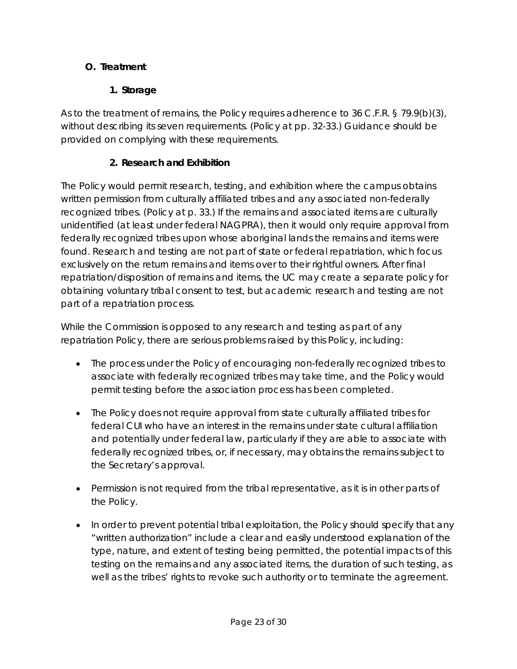### **O. Treatment**

### **1. Storage**

As to the treatment of remains, the Policy requires adherence to 36 C.F.R. § 79.9(b)(3), without describing its seven requirements. (Policy at pp. 32-33.) Guidance should be provided on complying with these requirements.

### **2. Research and Exhibition**

The Policy would permit research, testing, and exhibition where the campus obtains written permission from culturally affiliated tribes and any associated non-federally recognized tribes. (Policy at p. 33.) If the remains and associated items are culturally unidentified (at least under federal NAGPRA), then it would only require approval from federally recognized tribes upon whose aboriginal lands the remains and items were found. Research and testing are not part of state or federal repatriation, which focus exclusively on the return remains and items over to their rightful owners. After final repatriation/disposition of remains and items, the UC may create a separate policy for obtaining voluntary tribal consent to test, but academic research and testing are not part of a repatriation process.

While the Commission is opposed to any research and testing as part of any repatriation Policy, there are serious problems raised by this Policy, including:

- The process under the Policy of encouraging non-federally recognized tribes to associate with federally recognized tribes may take time, and the Policy would permit testing before the association process has been completed.
- The Policy does not require approval from state culturally affiliated tribes for federal CUI who have an interest in the remains under state cultural affiliation and potentially under federal law, particularly if they are able to associate with federally recognized tribes, or, if necessary, may obtains the remains subject to the Secretary's approval.
- Permission is not required from the tribal representative, as it is in other parts of the Policy.
- In order to prevent potential tribal exploitation, the Policy should specify that any "written authorization" include a clear and easily understood explanation of the type, nature, and extent of testing being permitted, the potential impacts of this testing on the remains and any associated items, the duration of such testing, as well as the tribes' rights to revoke such authority or to terminate the agreement.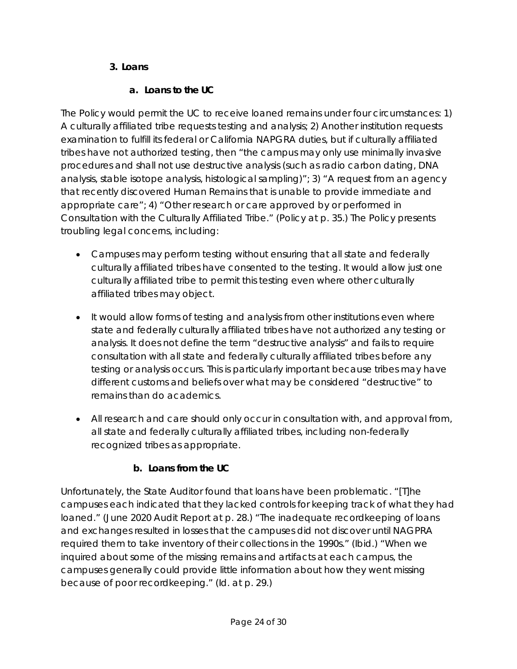### **3. Loans**

### **a. Loans to the UC**

The Policy would permit the UC to receive loaned remains under four circumstances: 1) A culturally affiliated tribe requests testing and analysis; 2) Another institution requests examination to fulfill its federal or California NAPGRA duties, but if culturally affiliated tribes have not authorized testing, then "the campus may only use minimally invasive procedures and shall not use destructive analysis (such as radio carbon dating, DNA analysis, stable isotope analysis, histological sampling)"; 3) "A request from an agency that recently discovered Human Remains that is unable to provide immediate and appropriate care"; 4) "Other research or care approved by or performed in Consultation with the Culturally Affiliated Tribe." (Policy at p. 35.) The Policy presents troubling legal concerns, including:

- Campuses may perform testing without ensuring that all state and federally culturally affiliated tribes have consented to the testing. It would allow just one culturally affiliated tribe to permit this testing even where other culturally affiliated tribes may object.
- It would allow forms of testing and analysis from other institutions even where state and federally culturally affiliated tribes have not authorized any testing or analysis. It does not define the term "destructive analysis" and fails to require consultation with all state and federally culturally affiliated tribes before any testing or analysis occurs. This is particularly important because tribes may have different customs and beliefs over what may be considered "destructive" to remains than do academics.
- All research and care should only occur in consultation with, and approval from, all state and federally culturally affiliated tribes, including non-federally recognized tribes as appropriate.

# **b. Loans from the UC**

Unfortunately, the State Auditor found that loans have been problematic. "[T]he campuses each indicated that they lacked controls for keeping track of what they had loaned." (June 2020 Audit Report at p. 28.) "The inadequate recordkeeping of loans and exchanges resulted in losses that the campuses did not discover until NAGPRA required them to take inventory of their collections in the 1990s." (*Ibid.*) "When we inquired about some of the missing remains and artifacts at each campus, the campuses generally could provide little information about how they went missing because of poor recordkeeping." (*Id*. at p. 29.)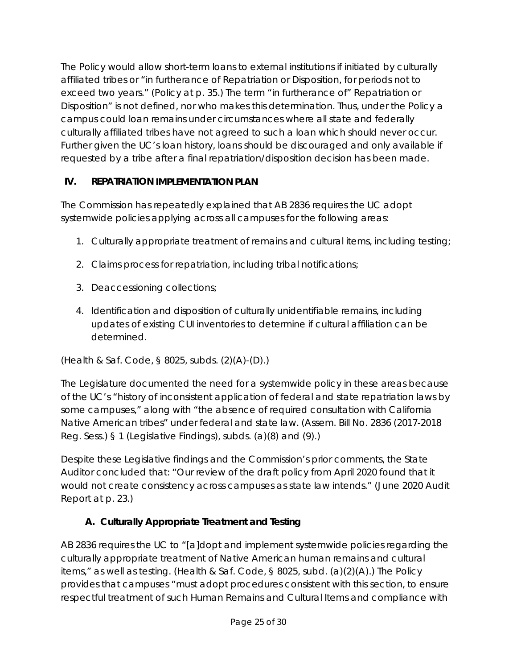The Policy would allow short-term loans to external institutions if initiated by culturally affiliated tribes or "in furtherance of Repatriation or Disposition, for periods not to exceed two years." (Policy at p. 35.) The term "in furtherance of" Repatriation or Disposition" is not defined, nor who makes this determination. Thus, under the Policy a campus could loan remains under circumstances where all state and federally culturally affiliated tribes have not agreed to such a loan which should never occur. Further given the UC's loan history, loans should be discouraged and only available if requested by a tribe after a final repatriation/disposition decision has been made.

### **IV. REPATRIATION IMPLEMENTATION PLAN**

The Commission has repeatedly explained that AB 2836 requires the UC adopt systemwide policies applying across all campuses for the following areas:

- 1. Culturally appropriate treatment of remains and cultural items, including testing;
- 2. Claims process for repatriation, including tribal notifications;
- 3. Deaccessioning collections;
- 4. Identification and disposition of culturally unidentifiable remains, including updates of existing CUI inventories to determine if cultural affiliation can be determined.

(Health & Saf. Code, § 8025, subds. (2)(A)-(D).)

The Legislature documented the need for a systemwide policy in these areas because of the UC's "history of inconsistent application of federal and state repatriation laws by some campuses," along with "the absence of required consultation with California Native American tribes" under federal and state law. (Assem. Bill No. 2836 (2017-2018 Reg. Sess.) § 1 (Legislative Findings), subds. (a)(8) and (9).)

Despite these Legislative findings and the Commission's prior comments, the State Auditor concluded that: "Our review of the draft policy from April 2020 found that it would not create consistency across campuses as state law intends." (June 2020 Audit Report at p. 23.)

### **A. Culturally Appropriate Treatment and Testing**

AB 2836 requires the UC to "[a]dopt and implement systemwide policies regarding the culturally appropriate treatment of Native American human remains and cultural items," as well as testing. (Health & Saf. Code, § 8025, subd. (a)(2)(A).) The Policy provides that campuses "must adopt procedures consistent with this section, to ensure respectful treatment of such Human Remains and Cultural Items and compliance with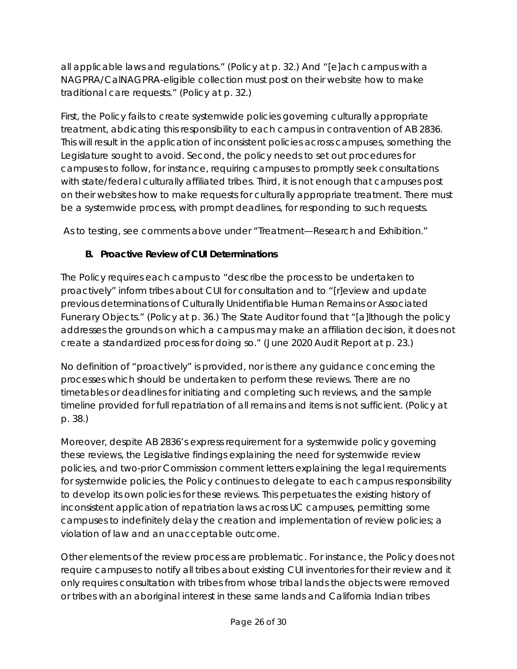all applicable laws and regulations." (Policy at p. 32.) And "[e]ach campus with a NAGPRA/CalNAGPRA-eligible collection must post on their website how to make traditional care requests." (Policy at p. 32.)

First, the Policy fails to create systemwide policies governing culturally appropriate treatment, abdicating this responsibility to each campus in contravention of AB 2836. This will result in the application of inconsistent policies across campuses, something the Legislature sought to avoid. Second, the policy needs to set out procedures for campuses to follow, for instance, requiring campuses to promptly seek consultations with state/federal culturally affiliated tribes. Third, it is not enough that campuses post on their websites how to make requests for culturally appropriate treatment. There must be a systemwide process, with prompt deadlines, for responding to such requests.

As to testing, see comments above under "Treatment—Research and Exhibition."

#### **B. Proactive Review of CUI Determinations**

The Policy requires each campus to "describe the process to be undertaken to proactively" inform tribes about CUI for consultation and to "[r]eview and update previous determinations of Culturally Unidentifiable Human Remains or Associated Funerary Objects." (Policy at p. 36.) The State Auditor found that "[a]lthough the policy addresses the grounds on which a campus may make an affiliation decision, it does not create a standardized process for doing so." (June 2020 Audit Report at p. 23.)

No definition of "proactively" is provided, nor is there any guidance concerning the processes which should be undertaken to perform these reviews. There are no timetables or deadlines for initiating and completing such reviews, and the sample timeline provided for full repatriation of all remains and items is not sufficient. (Policy at p. 38.)

Moreover, despite AB 2836's express requirement for a systemwide policy governing these reviews, the Legislative findings explaining the need for systemwide review policies, and two-prior Commission comment letters explaining the legal requirements for systemwide policies, the Policy continues to delegate to each campus responsibility to develop its own policies for these reviews. This perpetuates the existing history of inconsistent application of repatriation laws across UC campuses, permitting some campuses to indefinitely delay the creation and implementation of review policies; a violation of law and an unacceptable outcome.

Other elements of the review process are problematic. For instance, the Policy does not require campuses to notify all tribes about existing CUI inventories for their review and it only requires consultation with tribes from whose tribal lands the objects were removed or tribes with an aboriginal interest in these same lands and California Indian tribes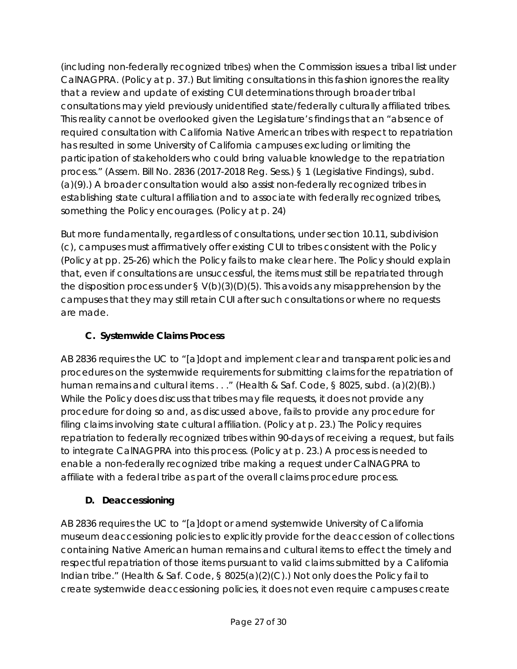(including non-federally recognized tribes) when the Commission issues a tribal list under CalNAGPRA. (Policy at p. 37.) But limiting consultations in this fashion ignores the reality that a review and update of existing CUI determinations through broader tribal consultations may yield previously unidentified state/federally culturally affiliated tribes. This reality cannot be overlooked given the Legislature's findings that an "absence of required consultation with California Native American tribes with respect to repatriation has resulted in some University of California campuses excluding or limiting the participation of stakeholders who could bring valuable knowledge to the repatriation process." (Assem. Bill No. 2836 (2017-2018 Reg. Sess.) § 1 (Legislative Findings), subd. (a)(9).) A broader consultation would also assist non-federally recognized tribes in establishing state cultural affiliation and to associate with federally recognized tribes, something the Policy encourages. (Policy at p. 24)

But more fundamentally, regardless of consultations, under section 10.11, subdivision (c), campuses must affirmatively offer existing CUI to tribes consistent with the Policy (Policy at pp. 25-26) which the Policy fails to make clear here. The Policy should explain that, even if consultations are unsuccessful, the items must still be repatriated through the disposition process under  $\S V(b)(3)(D)(5)$ . This avoids any misapprehension by the campuses that they may still retain CUI after such consultations or where no requests are made.

# **C. Systemwide Claims Process**

AB 2836 requires the UC to "[a]dopt and implement clear and transparent policies and procedures on the systemwide requirements for submitting claims for the repatriation of human remains and cultural items . . ." (Health & Saf. Code, § 8025, subd. (a)(2)(B).) While the Policy does discuss that tribes may file requests, it does not provide any procedure for doing so and, as discussed above, fails to provide any procedure for filing claims involving state cultural affiliation. (Policy at p. 23.) The Policy requires repatriation to federally recognized tribes within 90-days of receiving a request, but fails to integrate CalNAGPRA into this process. (Policy at p. 23.) A process is needed to enable a non-federally recognized tribe making a request under CalNAGPRA to affiliate with a federal tribe as part of the overall claims procedure process.

# **D. Deaccessioning**

AB 2836 requires the UC to "[a]dopt or amend systemwide University of California museum deaccessioning policies to explicitly provide for the deaccession of collections containing Native American human remains and cultural items to effect the timely and respectful repatriation of those items pursuant to valid claims submitted by a California Indian tribe." (Health & Saf. Code, § 8025(a)(2)(C).) Not only does the Policy fail to create systemwide deaccessioning policies, it does not even require campuses create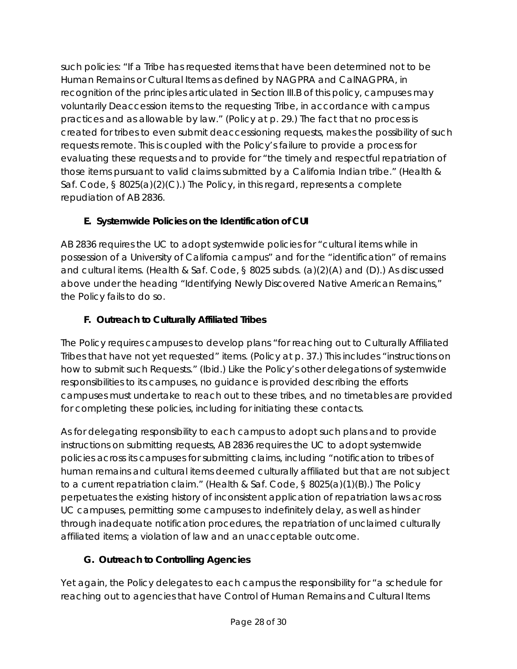such policies: "If a Tribe has requested items that have been determined not to be Human Remains or Cultural Items as defined by NAGPRA and CalNAGPRA, in recognition of the principles articulated in Section III.B of this policy, campuses may voluntarily Deaccession items to the requesting Tribe, in accordance with campus practices and as allowable by law." (Policy at p. 29.) The fact that no process is created for tribes to even submit deaccessioning requests, makes the possibility of such requests remote. This is coupled with the Policy's failure to provide a process for evaluating these requests and to provide for "the timely and respectful repatriation of those items pursuant to valid claims submitted by a California Indian tribe." (Health & Saf. Code, § 8025(a)(2)(C).) The Policy, in this regard, represents a complete repudiation of AB 2836.

# **E. Systemwide Policies on the Identification of CUI**

AB 2836 requires the UC to adopt systemwide policies for "cultural items while in possession of a University of California campus" and for the "identification" of remains and cultural items. (Health & Saf. Code, § 8025 subds. (a)(2)(A) and (D).) As discussed above under the heading "Identifying Newly Discovered Native American Remains," the Policy fails to do so.

# **F. Outreach to Culturally Affiliated Tribes**

The Policy requires campuses to develop plans "for reaching out to Culturally Affiliated Tribes that have not yet requested" items. (Policy at p. 37.) This includes "instructions on how to submit such Requests." (*Ibid*.) Like the Policy's other delegations of systemwide responsibilities to its campuses, no guidance is provided describing the efforts campuses must undertake to reach out to these tribes, and no timetables are provided for completing these policies, including for initiating these contacts.

As for delegating responsibility to each campus to adopt such plans and to provide instructions on submitting requests, AB 2836 requires the UC to adopt systemwide policies across its campuses for submitting claims, including "notification to tribes of human remains and cultural items deemed culturally affiliated but that are not subject to a current repatriation claim." (Health & Saf. Code, § 8025(a)(1)(B).) The Policy perpetuates the existing history of inconsistent application of repatriation laws across UC campuses, permitting some campuses to indefinitely delay, as well as hinder through inadequate notification procedures, the repatriation of unclaimed culturally affiliated items; a violation of law and an unacceptable outcome.

### **G. Outreach to Controlling Agencies**

Yet again, the Policy delegates to each campus the responsibility for "a schedule for reaching out to agencies that have Control of Human Remains and Cultural Items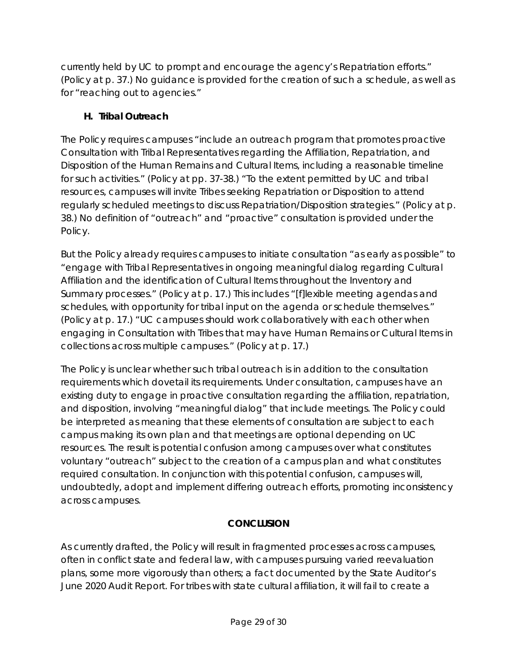currently held by UC to prompt and encourage the agency's Repatriation efforts." (Policy at p. 37.) No guidance is provided for the creation of such a schedule, as well as for "reaching out to agencies."

### **H. Tribal Outreach**

The Policy requires campuses "include an outreach program that promotes proactive Consultation with Tribal Representatives regarding the Affiliation, Repatriation, and Disposition of the Human Remains and Cultural Items, including a reasonable timeline for such activities." (Policy at pp. 37-38.) "To the extent permitted by UC and tribal resources, campuses will invite Tribes seeking Repatriation or Disposition to attend regularly scheduled meetings to discuss Repatriation/Disposition strategies." (Policy at p. 38.) No definition of "outreach" and "proactive" consultation is provided under the Policy.

But the Policy already requires campuses to initiate consultation "as early as possible" to "engage with Tribal Representatives in ongoing meaningful dialog regarding Cultural Affiliation and the identification of Cultural Items throughout the Inventory and Summary processes." (Policy at p. 17.) This includes "[f]lexible meeting agendas and schedules, with opportunity for tribal input on the agenda or schedule themselves." (Policy at p. 17.) "UC campuses should work collaboratively with each other when engaging in Consultation with Tribes that may have Human Remains or Cultural Items in collections across multiple campuses." (Policy at p. 17.)

The Policy is unclear whether such tribal outreach is in addition to the consultation requirements which dovetail its requirements. Under consultation, campuses have an existing duty to engage in proactive consultation regarding the affiliation, repatriation, and disposition, involving "meaningful dialog" that include meetings. The Policy could be interpreted as meaning that these elements of consultation are subject to each campus making its own plan and that meetings are optional depending on UC resources. The result is potential confusion among campuses over what constitutes voluntary "outreach" subject to the creation of a campus plan and what constitutes required consultation. In conjunction with this potential confusion, campuses will, undoubtedly, adopt and implement differing outreach efforts, promoting inconsistency across campuses.

### **CONCLUSION**

As currently drafted, the Policy will result in fragmented processes across campuses, often in conflict state and federal law, with campuses pursuing varied reevaluation plans, some more vigorously than others; a fact documented by the State Auditor's June 2020 Audit Report. For tribes with state cultural affiliation, it will fail to create a